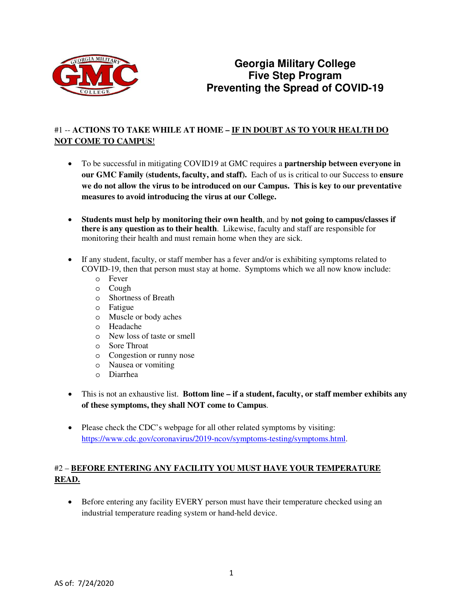

# **Georgia Military College Five Step Program Preventing the Spread of COVID-19**

### #1 -- **ACTIONS TO TAKE WHILE AT HOME – IF IN DOUBT AS TO YOUR HEALTH DO NOT COME TO CAMPUS**!

- To be successful in mitigating COVID19 at GMC requires a **partnership between everyone in our GMC Family (students, faculty, and staff).** Each of us is critical to our Success to **ensure we do not allow the virus to be introduced on our Campus. This is key to our preventative measures to avoid introducing the virus at our College.**
- **Students must help by monitoring their own health**, and by **not going to campus/classes if there is any question as to their health**. Likewise, faculty and staff are responsible for monitoring their health and must remain home when they are sick.
- If any student, faculty, or staff member has a fever and/or is exhibiting symptoms related to COVID-19, then that person must stay at home. Symptoms which we all now know include:
	- o Fever
	- o Cough
	- o Shortness of Breath
	- o Fatigue
	- o Muscle or body aches
	- o Headache
	- o New loss of taste or smell
	- o Sore Throat
	- o Congestion or runny nose
	- o Nausea or vomiting
	- o Diarrhea
- This is not an exhaustive list. **Bottom line if a student, faculty, or staff member exhibits any of these symptoms, they shall NOT come to Campus**.
- Please check the CDC's webpage for all other related symptoms by visiting: [https://www.cdc.gov/coronavirus/2019-ncov/symptoms-testing/symptoms.html.](https://www.cdc.gov/coronavirus/2019-ncov/symptoms-testing/symptoms.html)

# #2 – **BEFORE ENTERING ANY FACILITY YOU MUST HAVE YOUR TEMPERATURE READ.**

• Before entering any facility EVERY person must have their temperature checked using an industrial temperature reading system or hand-held device.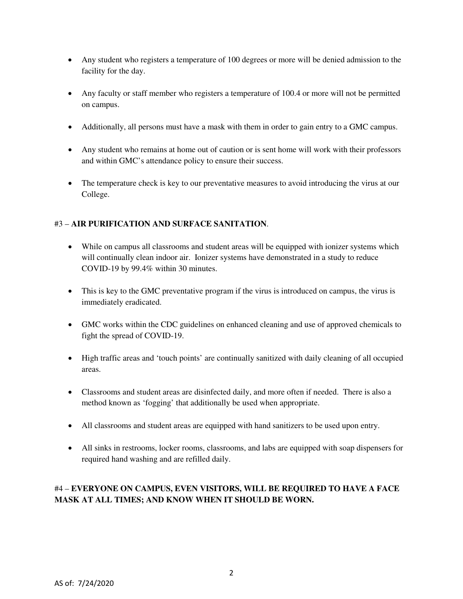- Any student who registers a temperature of 100 degrees or more will be denied admission to the facility for the day.
- Any faculty or staff member who registers a temperature of 100.4 or more will not be permitted on campus.
- Additionally, all persons must have a mask with them in order to gain entry to a GMC campus.
- Any student who remains at home out of caution or is sent home will work with their professors and within GMC's attendance policy to ensure their success.
- The temperature check is key to our preventative measures to avoid introducing the virus at our College.

#### #3 – **AIR PURIFICATION AND SURFACE SANITATION**.

- While on campus all classrooms and student areas will be equipped with ionizer systems which will continually clean indoor air. Ionizer systems have demonstrated in a study to reduce COVID-19 by 99.4% within 30 minutes.
- This is key to the GMC preventative program if the virus is introduced on campus, the virus is immediately eradicated.
- GMC works within the CDC guidelines on enhanced cleaning and use of approved chemicals to fight the spread of COVID-19.
- High traffic areas and 'touch points' are continually sanitized with daily cleaning of all occupied areas.
- Classrooms and student areas are disinfected daily, and more often if needed. There is also a method known as 'fogging' that additionally be used when appropriate.
- All classrooms and student areas are equipped with hand sanitizers to be used upon entry.
- All sinks in restrooms, locker rooms, classrooms, and labs are equipped with soap dispensers for required hand washing and are refilled daily.

### #4 – **EVERYONE ON CAMPUS, EVEN VISITORS, WILL BE REQUIRED TO HAVE A FACE MASK AT ALL TIMES; AND KNOW WHEN IT SHOULD BE WORN.**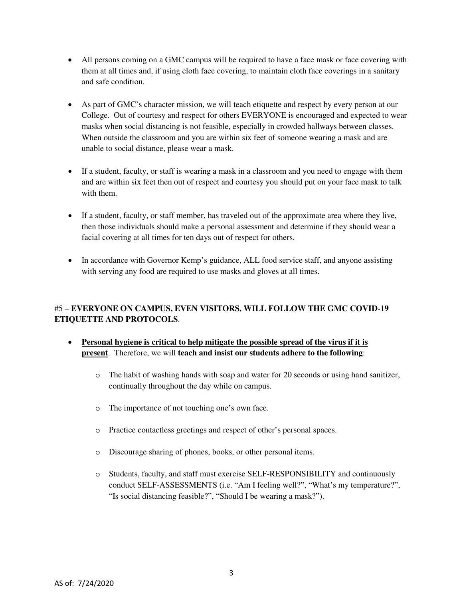- All persons coming on a GMC campus will be required to have a face mask or face covering with them at all times and, if using cloth face covering, to maintain cloth face coverings in a sanitary and safe condition.
- As part of GMC's character mission, we will teach etiquette and respect by every person at our College. Out of courtesy and respect for others EVERYONE is encouraged and expected to wear masks when social distancing is not feasible, especially in crowded hallways between classes. When outside the classroom and you are within six feet of someone wearing a mask and are unable to social distance, please wear a mask.
- If a student, faculty, or staff is wearing a mask in a classroom and you need to engage with them and are within six feet then out of respect and courtesy you should put on your face mask to talk with them.
- If a student, faculty, or staff member, has traveled out of the approximate area where they live, then those individuals should make a personal assessment and determine if they should wear a facial covering at all times for ten days out of respect for others.
- In accordance with Governor Kemp's guidance, ALL food service staff, and anyone assisting with serving any food are required to use masks and gloves at all times.

# #5 – **EVERYONE ON CAMPUS, EVEN VISITORS, WILL FOLLOW THE GMC COVID-19 ETIQUETTE AND PROTOCOLS**.

- **Personal hygiene is critical to help mitigate the possible spread of the virus if it is present**. Therefore, we will **teach and insist our students adhere to the following**:
	- o The habit of washing hands with soap and water for 20 seconds or using hand sanitizer, continually throughout the day while on campus.
	- o The importance of not touching one's own face.
	- o Practice contactless greetings and respect of other's personal spaces.
	- o Discourage sharing of phones, books, or other personal items.
	- o Students, faculty, and staff must exercise SELF-RESPONSIBILITY and continuously conduct SELF-ASSESSMENTS (i.e. "Am I feeling well?", "What's my temperature?", "Is social distancing feasible?", "Should I be wearing a mask?").